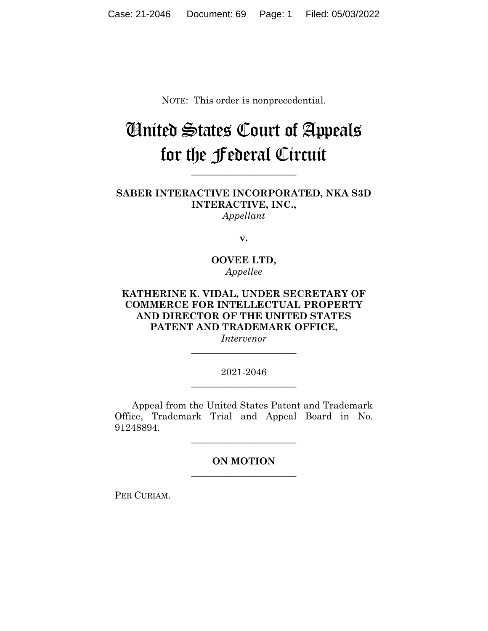NOTE: This order is nonprecedential.

## United States Court of Appeals for the Federal Circuit

**SABER INTERACTIVE INCORPORATED, NKA S3D INTERACTIVE, INC.,** *Appellant*

**\_\_\_\_\_\_\_\_\_\_\_\_\_\_\_\_\_\_\_\_\_\_**

**v.**

**OOVEE LTD,** *Appellee*

## **KATHERINE K. VIDAL, UNDER SECRETARY OF COMMERCE FOR INTELLECTUAL PROPERTY AND DIRECTOR OF THE UNITED STATES PATENT AND TRADEMARK OFFICE,**

*Intervenor* **\_\_\_\_\_\_\_\_\_\_\_\_\_\_\_\_\_\_\_\_\_\_**

2021-2046 **\_\_\_\_\_\_\_\_\_\_\_\_\_\_\_\_\_\_\_\_\_\_**

Appeal from the United States Patent and Trademark Office, Trademark Trial and Appeal Board in No. 91248894.

> **ON MOTION \_\_\_\_\_\_\_\_\_\_\_\_\_\_\_\_\_\_\_\_\_\_**

> **\_\_\_\_\_\_\_\_\_\_\_\_\_\_\_\_\_\_\_\_\_\_**

PER CURIAM.